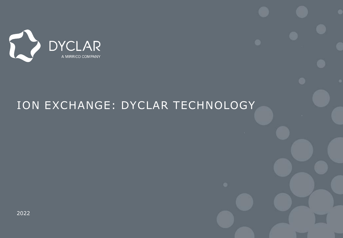

## ION EXCHANGE: DYCLAR TECHNOLOGY

2022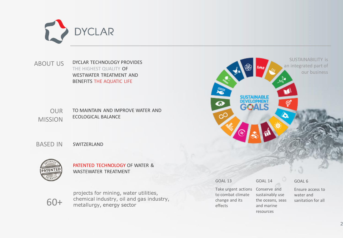

DYCLAR TECHNOLOGY PROVIDES THE HIGHEST QUALITY OF WESTWATER TREATMENT AND BENEFITS THE AQUATIC LIFE ABOUT US

OUR MISSION TO MAINTAIN AND IMPROVE WATER AND ECOLOGICAL BALANCE

BASED IN SWITZERLAND



PATENTED TECHNOLOGY OF WATER & WASTEWATER TREATMENT

60+

projects for mining, water utilities, chemical industry, oil and gas industry, metallurgy, energy sector

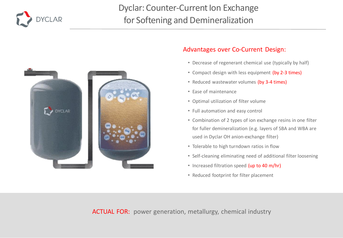

## Dyclar: Counter-Current Ion Exchange for Softening and Demineralization



#### Advantages over Co-Current Design:

- Decrease of regenerant chemical use (typically by half)
- Compact design with less equipment (by 2-3 times)
- Reduced wastewater volumes (by 3-4 times)
- Ease of maintenance
- Optimal utilization of filter volume
- Full automation and easy control
- Combination of 2 types of ion exchange resins in one filter for fuller demineralization (e.g. layers of SBA and WBA are used in Dyclar OH anion-exchange filter)
- Tolerable to high turndown ratios in flow
- Self-cleaning eliminating need of additional filter loosening
- Increased filtration speed (up to 40 m/hr)
- Reduced footprint for filter placement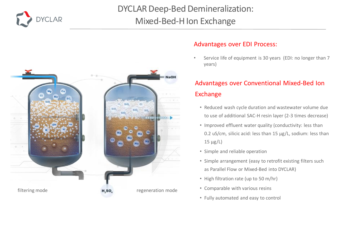

## DYCLAR Deep-Bed Demineralization: Mixed-Bed-H Ion Exchange



#### Advantages over EDI Process:

Service life of equipment is 30 years (EDI: no longer than 7 years)

### Advantages over Conventional Mixed-Bed Ion Exchange

- Reduced wash cycle duration and wastewater volume due to use of additional SAC-H resin layer (2-3 times decrease)
- Improved effluent water quality (conductivity: less than 0.2 uS/cm, silicic acid: less than 15 µg/L, sodium: less than  $15 \mu g/L$
- Simple and reliable operation
- Simple arrangement (easy to retrofit existing filters such as Parallel Flow or Mixed-Bed into DYCLAR)
- High filtration rate (up to 50 m/hr)
- Comparable with various resins
- Fully automated and easy to control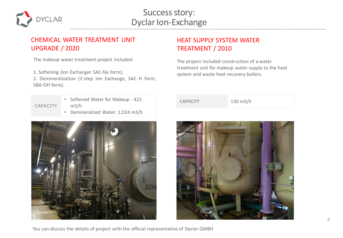

#### CHEMICAL WATER TREATMENT UNIT UPGRADE / 2020

The makeup water treatment project included:

1. Softening (Ion Exchanger SAC-Na form);

2. Demineralization (2-step Ion Exchange, SAC H form, SBA-OH form).

СAPACITY

- Softened Water for Makeup : 422 m3/h
- Demineralized Water: 1,024 m3/h



### HEAT SUPPLY SYSTEM WATER TREATMENT / 2010

The project included construction of a water treatment unit for makeup water supply to the heat system and waste heat recovery boilers.

CAPACITY 130 m3/h

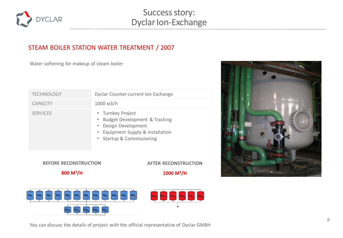

## Success story: Dyclar Ion-Exchange

#### STEAM BOILER STATION WATER TREATMENT / 2007

Water softening for makeup of steam boiler

| <b>TECHNOLOGY</b> | Dyclar Counter-current Ion Exchange                                                                                                            |
|-------------------|------------------------------------------------------------------------------------------------------------------------------------------------|
| <b>CAPACITY</b>   | $1000$ $m3/h$                                                                                                                                  |
| <b>SERVICES</b>   | • Turnkey Project<br>• Budget Development & Tracking<br>• Design Development<br>• Equipment Supply & Installation<br>• Startup & Commissioning |



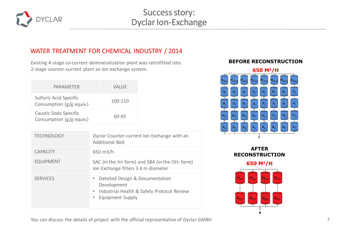

#### WATER TREATMENT FOR CHEMICAL INDUSTRY / 2014

Existing 4-stage co-current demineralization plant was retrofitted into 2-stage counter-current plant an ion exchange system.

| PARAMETER                                          | VALUE   |
|----------------------------------------------------|---------|
| Sulfuric Acid Specific<br>Consumption (g/g equiv.) | 100-110 |
| Caustic Soda Specific<br>Consumption (g/g equiv.)  | 60-65   |

| <b>TECHNOLOGY</b> | Dyclar Counter-current Ion Exchange with an<br><b>Additional Bed</b>                                                    |
|-------------------|-------------------------------------------------------------------------------------------------------------------------|
| <b>CAPACITY</b>   | 650 m3/h                                                                                                                |
| <b>EQUIPMENT</b>  | SAC (in the H+ form) and SBA (in the OH- form)<br>Ion Exchange filters 3.4 m diameter                                   |
| <b>SERVICES</b>   | Detailed Design & Documentation<br>Development<br>Industrial Health & Safety Protocol Review<br><b>Equipment Supply</b> |

#### **BEFORE RECONSTRUCTION**